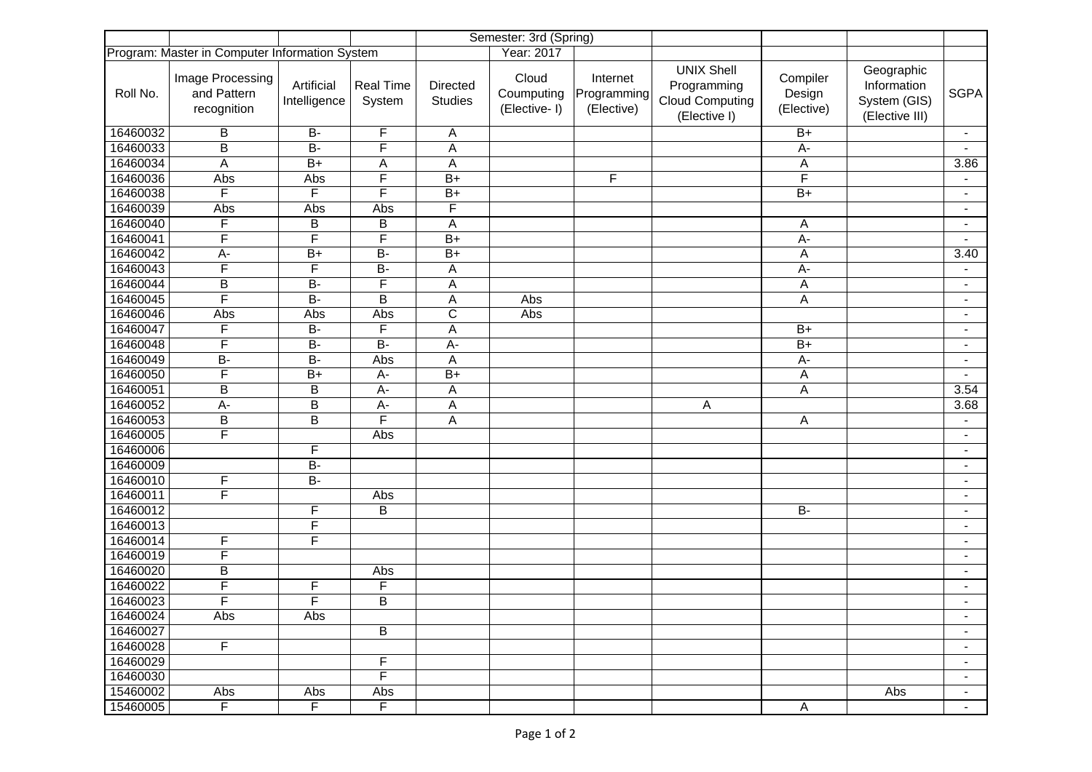|                                                |                                                |                            |                            |                            | Semester: 3rd (Spring)              |                                       |                                                                            |                                  |                                                             |                          |
|------------------------------------------------|------------------------------------------------|----------------------------|----------------------------|----------------------------|-------------------------------------|---------------------------------------|----------------------------------------------------------------------------|----------------------------------|-------------------------------------------------------------|--------------------------|
| Program: Master in Computer Information System |                                                |                            |                            | Year: 2017                 |                                     |                                       |                                                                            |                                  |                                                             |                          |
| Roll No.                                       | Image Processing<br>and Pattern<br>recognition | Artificial<br>Intelligence | <b>Real Time</b><br>System | Directed<br><b>Studies</b> | Cloud<br>Coumputing<br>(Elective-1) | Internet<br>Programming<br>(Elective) | <b>UNIX Shell</b><br>Programming<br><b>Cloud Computing</b><br>(Elective I) | Compiler<br>Design<br>(Elective) | Geographic<br>Information<br>System (GIS)<br>(Elective III) | <b>SGPA</b>              |
| 16460032                                       | В                                              | $B -$                      | F                          | A                          |                                     |                                       |                                                                            | $B+$                             |                                                             | $\blacksquare$           |
| 16460033                                       | B                                              | $\overline{B}$             | F                          | A                          |                                     |                                       |                                                                            | $A -$                            |                                                             |                          |
| 16460034                                       | A                                              | $\overline{B+}$            | A                          | $\overline{A}$             |                                     |                                       |                                                                            | $\mathsf A$                      |                                                             | 3.86                     |
| 16460036                                       | Abs                                            | Abs                        | F                          | $B+$                       |                                     | F                                     |                                                                            | F                                |                                                             |                          |
| 16460038                                       | $\overline{\mathsf{F}}$                        | F                          | $\overline{\mathsf{F}}$    | $B+$                       |                                     |                                       |                                                                            | $\overline{B+}$                  |                                                             | $\blacksquare$           |
| 16460039                                       | Abs                                            | Abs                        | Abs                        | F                          |                                     |                                       |                                                                            |                                  |                                                             | $\overline{\phantom{a}}$ |
| 16460040                                       | F                                              | В                          | B                          | A                          |                                     |                                       |                                                                            | А                                |                                                             | $\blacksquare$           |
| 16460041                                       | F                                              | $\overline{\mathsf{F}}$    | $\overline{\mathsf{F}}$    | $B+$                       |                                     |                                       |                                                                            | $A -$                            |                                                             |                          |
| 16460042                                       | $A -$                                          | $\overline{B+}$            | $\overline{B}$             | $B+$                       |                                     |                                       |                                                                            | A                                |                                                             | 3.40                     |
| 16460043                                       | F                                              | F                          | $B -$                      | A                          |                                     |                                       |                                                                            | $A -$                            |                                                             |                          |
| 16460044                                       | $\overline{B}$                                 | $\overline{B}$             | $\overline{\mathsf{F}}$    | A                          |                                     |                                       |                                                                            | Α                                |                                                             | $\overline{\phantom{a}}$ |
| 16460045                                       | F                                              | $B -$                      | $\overline{B}$             | A                          | Abs                                 |                                       |                                                                            | A                                |                                                             | $\blacksquare$           |
| 16460046                                       | Abs                                            | Abs                        | Abs                        | $\overline{\mathrm{c}}$    | Abs                                 |                                       |                                                                            |                                  |                                                             | $\blacksquare$           |
| 16460047                                       | F                                              | $\overline{B}$             | F                          | A                          |                                     |                                       |                                                                            | $\overline{B+}$                  |                                                             | $\overline{\phantom{a}}$ |
| 16460048                                       | F                                              | $\overline{B}$             | $\overline{B}$             | A-                         |                                     |                                       |                                                                            | $B+$                             |                                                             | $\overline{\phantom{a}}$ |
| 16460049                                       | $\overline{B}$                                 | $\overline{B}$             | Abs                        | $\overline{A}$             |                                     |                                       |                                                                            | A-                               |                                                             | $\blacksquare$           |
| 16460050                                       | F                                              | $B+$                       | $A-$                       | $B+$                       |                                     |                                       |                                                                            | Α                                |                                                             | $\blacksquare$           |
| 16460051                                       | $\overline{B}$                                 | B                          | $A-$                       | A                          |                                     |                                       |                                                                            | А                                |                                                             | 3.54                     |
| 16460052                                       | $A -$                                          | B                          | $A -$                      | A                          |                                     |                                       | Α                                                                          |                                  |                                                             | 3.68                     |
| 16460053                                       | $\overline{B}$                                 | B                          | $\overline{\mathsf{F}}$    | A                          |                                     |                                       |                                                                            | A                                |                                                             |                          |
| 16460005                                       | $\overline{\mathsf{F}}$                        |                            | Abs                        |                            |                                     |                                       |                                                                            |                                  |                                                             | $\blacksquare$           |
| 16460006                                       |                                                | F                          |                            |                            |                                     |                                       |                                                                            |                                  |                                                             | $\overline{\phantom{a}}$ |
| 16460009                                       |                                                | $\overline{B}$             |                            |                            |                                     |                                       |                                                                            |                                  |                                                             | $\blacksquare$           |
| 16460010                                       | F                                              | $B -$                      |                            |                            |                                     |                                       |                                                                            |                                  |                                                             | $\blacksquare$           |
| 16460011                                       | $\overline{F}$                                 |                            | Abs                        |                            |                                     |                                       |                                                                            |                                  |                                                             | $\overline{\phantom{a}}$ |
| 16460012                                       |                                                | F                          | $\overline{B}$             |                            |                                     |                                       |                                                                            | $B -$                            |                                                             | $\overline{\phantom{a}}$ |
| 16460013                                       |                                                | F                          |                            |                            |                                     |                                       |                                                                            |                                  |                                                             | $\overline{\phantom{a}}$ |
| 16460014                                       | F                                              | $\overline{F}$             |                            |                            |                                     |                                       |                                                                            |                                  |                                                             | $\blacksquare$           |
| 16460019                                       | F                                              |                            |                            |                            |                                     |                                       |                                                                            |                                  |                                                             | $\blacksquare$           |
| 16460020                                       | B                                              |                            | Abs                        |                            |                                     |                                       |                                                                            |                                  |                                                             |                          |
| 16460022                                       | F                                              | F                          | F                          |                            |                                     |                                       |                                                                            |                                  |                                                             | $\blacksquare$           |
| 16460023                                       | F                                              | F                          | B                          |                            |                                     |                                       |                                                                            |                                  |                                                             |                          |
| 16460024                                       | Abs                                            | Abs                        |                            |                            |                                     |                                       |                                                                            |                                  |                                                             | $\blacksquare$           |
| 16460027                                       |                                                |                            | В                          |                            |                                     |                                       |                                                                            |                                  |                                                             | $\blacksquare$           |
| 16460028                                       | $\overline{F}$                                 |                            |                            |                            |                                     |                                       |                                                                            |                                  |                                                             | $\blacksquare$           |
| 16460029                                       |                                                |                            | $\mathsf F$                |                            |                                     |                                       |                                                                            |                                  |                                                             | $\blacksquare$           |
| 16460030                                       |                                                |                            | $\overline{\mathsf{F}}$    |                            |                                     |                                       |                                                                            |                                  |                                                             | $\blacksquare$           |
| 15460002                                       | Abs                                            | Abs                        | Abs                        |                            |                                     |                                       |                                                                            |                                  | Abs                                                         | $\blacksquare$           |
| 15460005                                       | $\overline{F}$                                 | $\overline{\mathsf{F}}$    | $\overline{F}$             |                            |                                     |                                       |                                                                            | A                                |                                                             | $\blacksquare$           |